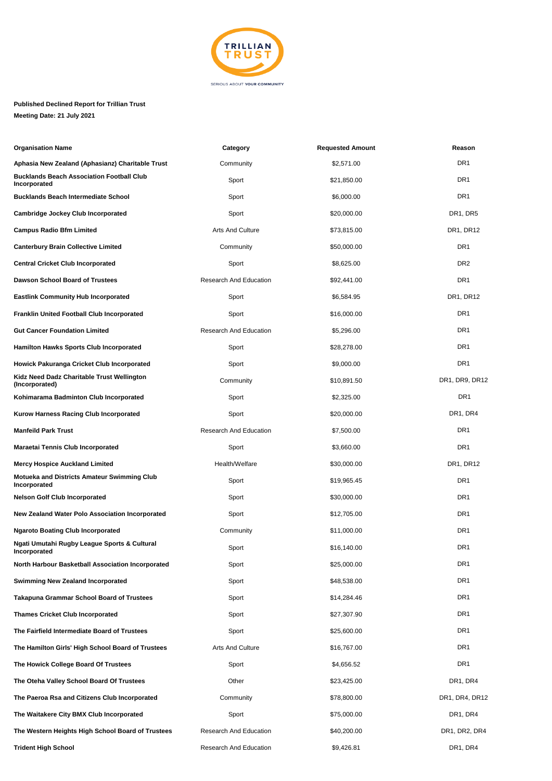

## **Published Declined Report for Trillian Trust Meeting Date: 21 July 2021**

| <b>Organisation Name</b>                                           | Category                      | <b>Requested Amount</b> | Reason          |
|--------------------------------------------------------------------|-------------------------------|-------------------------|-----------------|
| Aphasia New Zealand (Aphasianz) Charitable Trust                   | Community                     | \$2,571.00              | DR <sub>1</sub> |
| <b>Bucklands Beach Association Football Club</b><br>Incorporated   | Sport                         | \$21,850.00             | DR1             |
| <b>Bucklands Beach Intermediate School</b>                         | Sport                         | \$6,000.00              | DR1             |
| <b>Cambridge Jockey Club Incorporated</b>                          | Sport                         | \$20,000.00             | DR1, DR5        |
| <b>Campus Radio Bfm Limited</b>                                    | <b>Arts And Culture</b>       | \$73,815.00             | DR1, DR12       |
| <b>Canterbury Brain Collective Limited</b>                         | Community                     | \$50,000.00             | DR <sub>1</sub> |
| <b>Central Cricket Club Incorporated</b>                           | Sport                         | \$8,625.00              | DR <sub>2</sub> |
| Dawson School Board of Trustees                                    | <b>Research And Education</b> | \$92,441.00             | DR <sub>1</sub> |
| <b>Eastlink Community Hub Incorporated</b>                         | Sport                         | \$6,584.95              | DR1, DR12       |
| <b>Franklin United Football Club Incorporated</b>                  | Sport                         | \$16,000.00             | DR <sub>1</sub> |
| <b>Gut Cancer Foundation Limited</b>                               | <b>Research And Education</b> | \$5,296.00              | DR1             |
| <b>Hamilton Hawks Sports Club Incorporated</b>                     | Sport                         | \$28,278.00             | DR1             |
| <b>Howick Pakuranga Cricket Club Incorporated</b>                  | Sport                         | \$9,000.00              | DR <sub>1</sub> |
| Kidz Need Dadz Charitable Trust Wellington<br>(Incorporated)       | Community                     | \$10,891.50             | DR1, DR9, DR12  |
| Kohimarama Badminton Club Incorporated                             | Sport                         | \$2,325.00              | DR <sub>1</sub> |
| Kurow Harness Racing Club Incorporated                             | Sport                         | \$20,000.00             | DR1, DR4        |
| <b>Manfeild Park Trust</b>                                         | <b>Research And Education</b> | \$7,500.00              | DR1             |
| <b>Maraetai Tennis Club Incorporated</b>                           | Sport                         | \$3,660.00              | DR1             |
| <b>Mercy Hospice Auckland Limited</b>                              | Health/Welfare                | \$30,000.00             | DR1, DR12       |
| <b>Motueka and Districts Amateur Swimming Club</b><br>Incorporated | Sport                         | \$19,965.45             | DR <sub>1</sub> |
| <b>Nelson Golf Club Incorporated</b>                               | Sport                         | \$30,000.00             | DR1             |
| New Zealand Water Polo Association Incorporated                    | Sport                         | \$12,705.00             | DR1             |
| <b>Ngaroto Boating Club Incorporated</b>                           | Community                     | \$11,000.00             | DR1             |
| Ngati Umutahi Rugby League Sports & Cultural<br>Incorporated       | Sport                         | \$16,140.00             | DR <sub>1</sub> |
| North Harbour Basketball Association Incorporated                  | Sport                         | \$25,000.00             | DR <sub>1</sub> |
| <b>Swimming New Zealand Incorporated</b>                           | Sport                         | \$48,538.00             | DR1             |
| <b>Takapuna Grammar School Board of Trustees</b>                   | Sport                         | \$14,284.46             | DR1             |
| <b>Thames Cricket Club Incorporated</b>                            | Sport                         | \$27,307.90             | DR1             |
| The Fairfield Intermediate Board of Trustees                       | Sport                         | \$25,600.00             | DR1             |
| The Hamilton Girls' High School Board of Trustees                  | Arts And Culture              | \$16,767.00             | DR1             |
| The Howick College Board Of Trustees                               | Sport                         | \$4,656.52              | DR <sub>1</sub> |
| The Oteha Valley School Board Of Trustees                          | Other                         | \$23,425.00             | DR1, DR4        |
| The Paeroa Rsa and Citizens Club Incorporated                      | Community                     | \$78,800.00             | DR1, DR4, DR12  |
| The Waitakere City BMX Club Incorporated                           | Sport                         | \$75,000.00             | DR1, DR4        |
| The Western Heights High School Board of Trustees                  | Research And Education        | \$40,200.00             | DR1, DR2, DR4   |
| <b>Trident High School</b>                                         | Research And Education        | \$9,426.81              | DR1, DR4        |